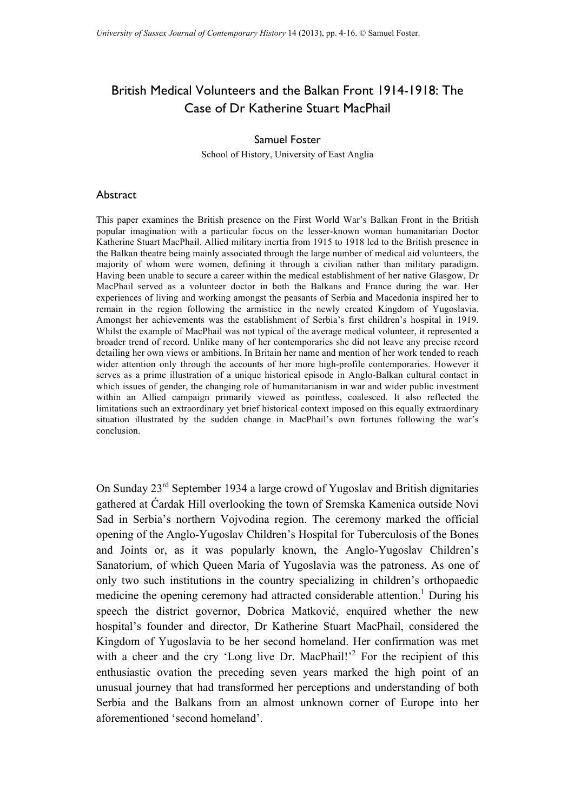## British Medical Volunteers and the Balkan Front 1914-1918: The Case of Dr Katherine Stuart MacPhail

## Samuel Foster

School of History, University of East Anglia

## Abstract

This paper examines the British presence on the First World War's Balkan Front in the British popular imagination with a particular focus on the lesser-known woman humanitarian Doctor Katherine Stuart MacPhail. Allied military inertia from 1915 to 1918 led to the British presence in the Balkan theatre being mainly associated through the large number of medical aid volunteers, the majority of whom were women, defining it through a civilian rather than military paradigm. Having been unable to secure a career within the medical establishment of her native Glasgow, Dr MacPhail served as a volunteer doctor in both the Balkans and France during the war. Her experiences of living and working amongst the peasants of Serbia and Macedonia inspired her to remain in the region following the armistice in the newly created Kingdom of Yugoslavia. Amongst her achievements was the establishment of Serbia's first children's hospital in 1919. Whilst the example of MacPhail was not typical of the average medical volunteer, it represented a broader trend of record. Unlike many of her contemporaries she did not leave any precise record detailing her own views or ambitions. In Britain her name and mention of her work tended to reach wider attention only through the accounts of her more high-profile contemporaries. However it serves as a prime illustration of a unique historical episode in Anglo-Balkan cultural contact in which issues of gender, the changing role of humanitarianism in war and wider public investment within an Allied campaign primarily viewed as pointless, coalesced. It also reflected the limitations such an extraordinary yet brief historical context imposed on this equally extraordinary situation illustrated by the sudden change in MacPhail's own fortunes following the war's conclusion.

On Sunday 23rd September 1934 a large crowd of Yugoslav and British dignitaries gathered at Ćardak Hill overlooking the town of Sremska Kamenica outside Novi Sad in Serbia's northern Vojvodina region. The ceremony marked the official opening of the Anglo-Yugoslav Children's Hospital for Tuberculosis of the Bones and Joints or, as it was popularly known, the Anglo-Yugoslav Children's Sanatorium, of which Queen Maria of Yugoslavia was the patroness. As one of only two such institutions in the country specializing in children's orthopaedic medicine the opening ceremony had attracted considerable attention. <sup>1</sup> During his speech the district governor, Dobrica Matković, enquired whether the new hospital's founder and director, Dr Katherine Stuart MacPhail, considered the Kingdom of Yugoslavia to be her second homeland. Her confirmation was met with a cheer and the cry 'Long live Dr. MacPhail!<sup>2</sup> For the recipient of this enthusiastic ovation the preceding seven years marked the high point of an unusual journey that had transformed her perceptions and understanding of both Serbia and the Balkans from an almost unknown corner of Europe into her aforementioned 'second homeland'.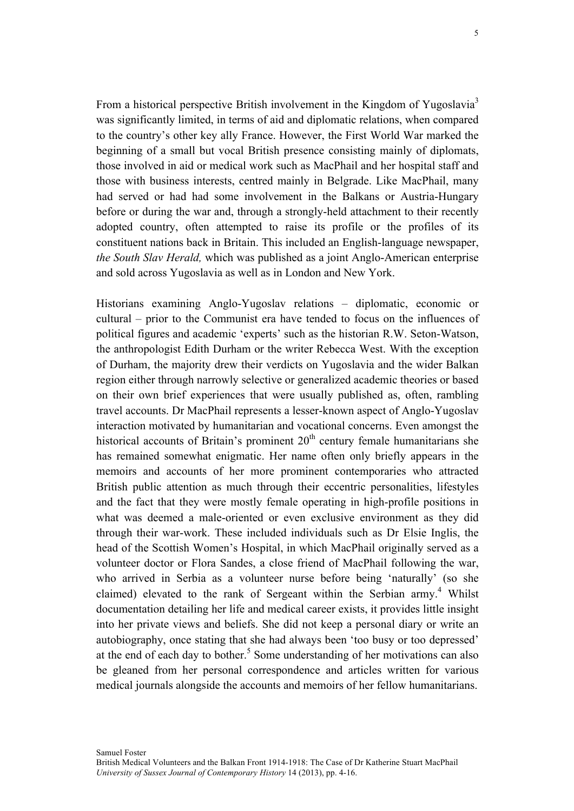From a historical perspective British involvement in the Kingdom of Yugoslavia<sup>3</sup> was significantly limited, in terms of aid and diplomatic relations, when compared to the country's other key ally France. However, the First World War marked the beginning of a small but vocal British presence consisting mainly of diplomats, those involved in aid or medical work such as MacPhail and her hospital staff and those with business interests, centred mainly in Belgrade. Like MacPhail, many had served or had had some involvement in the Balkans or Austria-Hungary before or during the war and, through a strongly-held attachment to their recently adopted country, often attempted to raise its profile or the profiles of its constituent nations back in Britain. This included an English-language newspaper, *the South Slav Herald,* which was published as a joint Anglo-American enterprise and sold across Yugoslavia as well as in London and New York.

Historians examining Anglo-Yugoslav relations – diplomatic, economic or cultural – prior to the Communist era have tended to focus on the influences of political figures and academic 'experts' such as the historian R.W. Seton-Watson, the anthropologist Edith Durham or the writer Rebecca West. With the exception of Durham, the majority drew their verdicts on Yugoslavia and the wider Balkan region either through narrowly selective or generalized academic theories or based on their own brief experiences that were usually published as, often, rambling travel accounts. Dr MacPhail represents a lesser-known aspect of Anglo-Yugoslav interaction motivated by humanitarian and vocational concerns. Even amongst the historical accounts of Britain's prominent  $20<sup>th</sup>$  century female humanitarians she has remained somewhat enigmatic. Her name often only briefly appears in the memoirs and accounts of her more prominent contemporaries who attracted British public attention as much through their eccentric personalities, lifestyles and the fact that they were mostly female operating in high-profile positions in what was deemed a male-oriented or even exclusive environment as they did through their war-work. These included individuals such as Dr Elsie Inglis, the head of the Scottish Women's Hospital, in which MacPhail originally served as a volunteer doctor or Flora Sandes, a close friend of MacPhail following the war, who arrived in Serbia as a volunteer nurse before being 'naturally' (so she claimed) elevated to the rank of Sergeant within the Serbian army.<sup>4</sup> Whilst documentation detailing her life and medical career exists, it provides little insight into her private views and beliefs. She did not keep a personal diary or write an autobiography, once stating that she had always been 'too busy or too depressed' at the end of each day to bother.<sup>5</sup> Some understanding of her motivations can also be gleaned from her personal correspondence and articles written for various medical journals alongside the accounts and memoirs of her fellow humanitarians.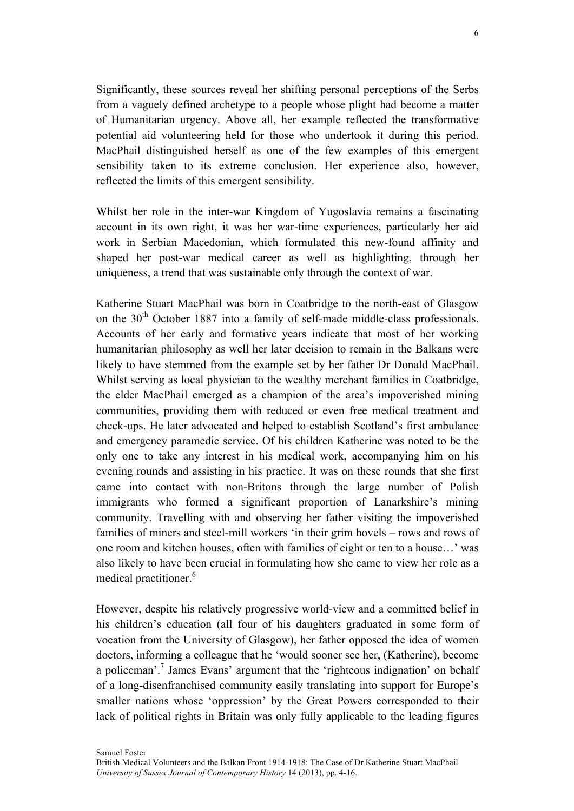Significantly, these sources reveal her shifting personal perceptions of the Serbs from a vaguely defined archetype to a people whose plight had become a matter of Humanitarian urgency. Above all, her example reflected the transformative potential aid volunteering held for those who undertook it during this period. MacPhail distinguished herself as one of the few examples of this emergent sensibility taken to its extreme conclusion. Her experience also, however, reflected the limits of this emergent sensibility.

Whilst her role in the inter-war Kingdom of Yugoslavia remains a fascinating account in its own right, it was her war-time experiences, particularly her aid work in Serbian Macedonian, which formulated this new-found affinity and shaped her post-war medical career as well as highlighting, through her uniqueness, a trend that was sustainable only through the context of war.

Katherine Stuart MacPhail was born in Coatbridge to the north-east of Glasgow on the  $30<sup>th</sup>$  October 1887 into a family of self-made middle-class professionals. Accounts of her early and formative years indicate that most of her working humanitarian philosophy as well her later decision to remain in the Balkans were likely to have stemmed from the example set by her father Dr Donald MacPhail. Whilst serving as local physician to the wealthy merchant families in Coatbridge, the elder MacPhail emerged as a champion of the area's impoverished mining communities, providing them with reduced or even free medical treatment and check-ups. He later advocated and helped to establish Scotland's first ambulance and emergency paramedic service. Of his children Katherine was noted to be the only one to take any interest in his medical work, accompanying him on his evening rounds and assisting in his practice. It was on these rounds that she first came into contact with non-Britons through the large number of Polish immigrants who formed a significant proportion of Lanarkshire's mining community. Travelling with and observing her father visiting the impoverished families of miners and steel-mill workers 'in their grim hovels – rows and rows of one room and kitchen houses, often with families of eight or ten to a house…' was also likely to have been crucial in formulating how she came to view her role as a medical practitioner.<sup>6</sup>

However, despite his relatively progressive world-view and a committed belief in his children's education (all four of his daughters graduated in some form of vocation from the University of Glasgow), her father opposed the idea of women doctors, informing a colleague that he 'would sooner see her, (Katherine), become a policeman'.<sup>7</sup> James Evans' argument that the 'righteous indignation' on behalf of a long-disenfranchised community easily translating into support for Europe's smaller nations whose 'oppression' by the Great Powers corresponded to their lack of political rights in Britain was only fully applicable to the leading figures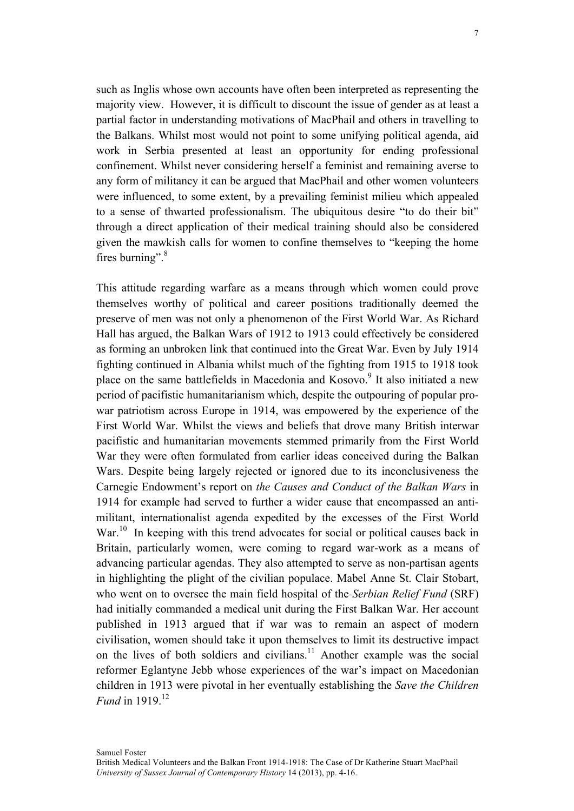such as Inglis whose own accounts have often been interpreted as representing the majority view. However, it is difficult to discount the issue of gender as at least a partial factor in understanding motivations of MacPhail and others in travelling to the Balkans. Whilst most would not point to some unifying political agenda, aid work in Serbia presented at least an opportunity for ending professional confinement. Whilst never considering herself a feminist and remaining averse to any form of militancy it can be argued that MacPhail and other women volunteers were influenced, to some extent, by a prevailing feminist milieu which appealed to a sense of thwarted professionalism. The ubiquitous desire "to do their bit" through a direct application of their medical training should also be considered given the mawkish calls for women to confine themselves to "keeping the home fires burning".<sup>8</sup>

This attitude regarding warfare as a means through which women could prove themselves worthy of political and career positions traditionally deemed the preserve of men was not only a phenomenon of the First World War. As Richard Hall has argued, the Balkan Wars of 1912 to 1913 could effectively be considered as forming an unbroken link that continued into the Great War. Even by July 1914 fighting continued in Albania whilst much of the fighting from 1915 to 1918 took place on the same battlefields in Macedonia and Kosovo.<sup>9</sup> It also initiated a new period of pacifistic humanitarianism which, despite the outpouring of popular prowar patriotism across Europe in 1914, was empowered by the experience of the First World War. Whilst the views and beliefs that drove many British interwar pacifistic and humanitarian movements stemmed primarily from the First World War they were often formulated from earlier ideas conceived during the Balkan Wars. Despite being largely rejected or ignored due to its inconclusiveness the Carnegie Endowment's report on *the Causes and Conduct of the Balkan Wars* in 1914 for example had served to further a wider cause that encompassed an antimilitant, internationalist agenda expedited by the excesses of the First World War.<sup>10</sup> In keeping with this trend advocates for social or political causes back in Britain, particularly women, were coming to regard war-work as a means of advancing particular agendas. They also attempted to serve as non-partisan agents in highlighting the plight of the civilian populace. Mabel Anne St. Clair Stobart, who went on to oversee the main field hospital of the *Serbian Relief Fund* (SRF) had initially commanded a medical unit during the First Balkan War. Her account published in 1913 argued that if war was to remain an aspect of modern civilisation, women should take it upon themselves to limit its destructive impact on the lives of both soldiers and civilians.11 Another example was the social reformer Eglantyne Jebb whose experiences of the war's impact on Macedonian children in 1913 were pivotal in her eventually establishing the *Save the Children Fund* in 1919<sup>12</sup>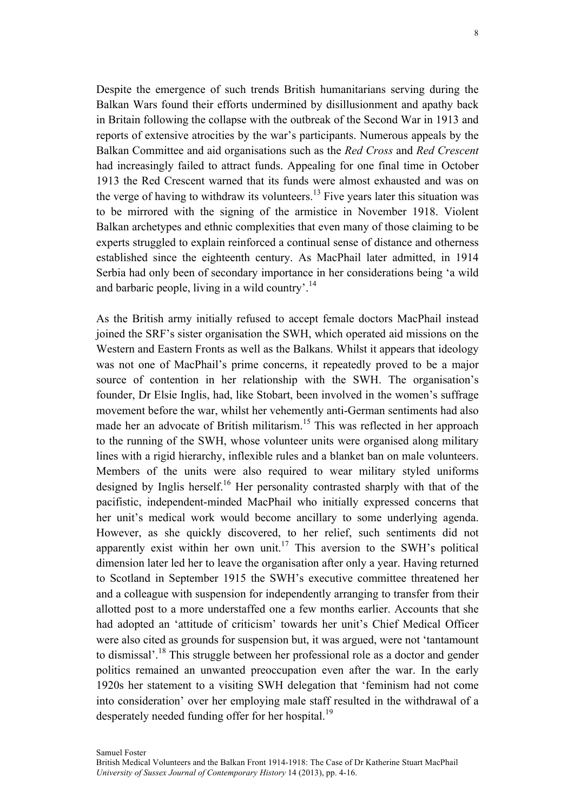Despite the emergence of such trends British humanitarians serving during the Balkan Wars found their efforts undermined by disillusionment and apathy back in Britain following the collapse with the outbreak of the Second War in 1913 and reports of extensive atrocities by the war's participants. Numerous appeals by the Balkan Committee and aid organisations such as the *Red Cross* and *Red Crescent*  had increasingly failed to attract funds. Appealing for one final time in October 1913 the Red Crescent warned that its funds were almost exhausted and was on the verge of having to withdraw its volunteers.<sup>13</sup> Five years later this situation was to be mirrored with the signing of the armistice in November 1918. Violent Balkan archetypes and ethnic complexities that even many of those claiming to be experts struggled to explain reinforced a continual sense of distance and otherness established since the eighteenth century. As MacPhail later admitted, in 1914 Serbia had only been of secondary importance in her considerations being 'a wild and barbaric people, living in a wild country'.<sup>14</sup>

As the British army initially refused to accept female doctors MacPhail instead joined the SRF's sister organisation the SWH, which operated aid missions on the Western and Eastern Fronts as well as the Balkans. Whilst it appears that ideology was not one of MacPhail's prime concerns, it repeatedly proved to be a major source of contention in her relationship with the SWH. The organisation's founder, Dr Elsie Inglis, had, like Stobart, been involved in the women's suffrage movement before the war, whilst her vehemently anti-German sentiments had also made her an advocate of British militarism.<sup>15</sup> This was reflected in her approach to the running of the SWH, whose volunteer units were organised along military lines with a rigid hierarchy, inflexible rules and a blanket ban on male volunteers. Members of the units were also required to wear military styled uniforms designed by Inglis herself.<sup>16</sup> Her personality contrasted sharply with that of the pacifistic, independent-minded MacPhail who initially expressed concerns that her unit's medical work would become ancillary to some underlying agenda. However, as she quickly discovered, to her relief, such sentiments did not apparently exist within her own unit.<sup>17</sup> This aversion to the SWH's political dimension later led her to leave the organisation after only a year. Having returned to Scotland in September 1915 the SWH's executive committee threatened her and a colleague with suspension for independently arranging to transfer from their allotted post to a more understaffed one a few months earlier. Accounts that she had adopted an 'attitude of criticism' towards her unit's Chief Medical Officer were also cited as grounds for suspension but, it was argued, were not 'tantamount to dismissal'.<sup>18</sup> This struggle between her professional role as a doctor and gender politics remained an unwanted preoccupation even after the war. In the early 1920s her statement to a visiting SWH delegation that 'feminism had not come into consideration' over her employing male staff resulted in the withdrawal of a desperately needed funding offer for her hospital.<sup>19</sup>

Samuel Foster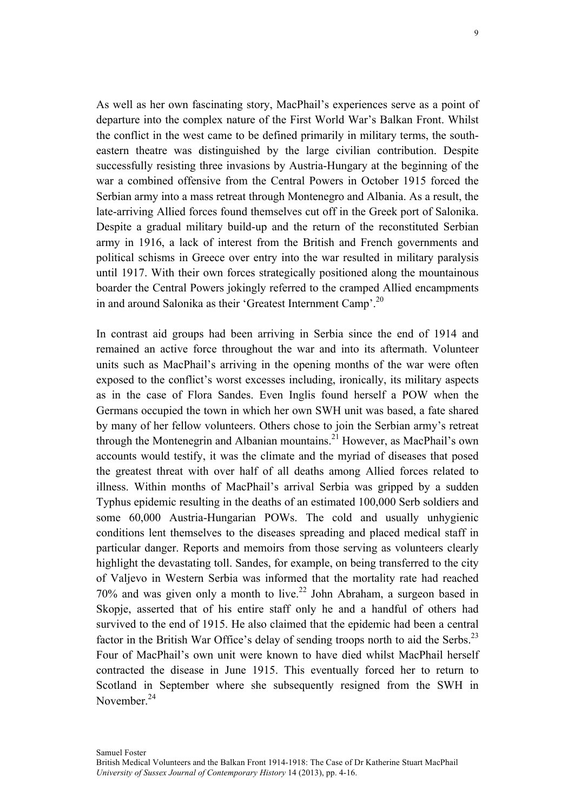As well as her own fascinating story, MacPhail's experiences serve as a point of departure into the complex nature of the First World War's Balkan Front. Whilst the conflict in the west came to be defined primarily in military terms, the southeastern theatre was distinguished by the large civilian contribution. Despite successfully resisting three invasions by Austria-Hungary at the beginning of the war a combined offensive from the Central Powers in October 1915 forced the Serbian army into a mass retreat through Montenegro and Albania. As a result, the late-arriving Allied forces found themselves cut off in the Greek port of Salonika. Despite a gradual military build-up and the return of the reconstituted Serbian army in 1916, a lack of interest from the British and French governments and political schisms in Greece over entry into the war resulted in military paralysis until 1917. With their own forces strategically positioned along the mountainous boarder the Central Powers jokingly referred to the cramped Allied encampments in and around Salonika as their 'Greatest Internment Camp'.<sup>20</sup>

In contrast aid groups had been arriving in Serbia since the end of 1914 and remained an active force throughout the war and into its aftermath. Volunteer units such as MacPhail's arriving in the opening months of the war were often exposed to the conflict's worst excesses including, ironically, its military aspects as in the case of Flora Sandes. Even Inglis found herself a POW when the Germans occupied the town in which her own SWH unit was based, a fate shared by many of her fellow volunteers. Others chose to join the Serbian army's retreat through the Montenegrin and Albanian mountains.<sup>21</sup> However, as MacPhail's own accounts would testify, it was the climate and the myriad of diseases that posed the greatest threat with over half of all deaths among Allied forces related to illness. Within months of MacPhail's arrival Serbia was gripped by a sudden Typhus epidemic resulting in the deaths of an estimated 100,000 Serb soldiers and some 60,000 Austria-Hungarian POWs. The cold and usually unhygienic conditions lent themselves to the diseases spreading and placed medical staff in particular danger. Reports and memoirs from those serving as volunteers clearly highlight the devastating toll. Sandes, for example, on being transferred to the city of Valjevo in Western Serbia was informed that the mortality rate had reached 70% and was given only a month to live.<sup>22</sup> John Abraham, a surgeon based in Skopje, asserted that of his entire staff only he and a handful of others had survived to the end of 1915. He also claimed that the epidemic had been a central factor in the British War Office's delay of sending troops north to aid the Serbs.<sup>23</sup> Four of MacPhail's own unit were known to have died whilst MacPhail herself contracted the disease in June 1915. This eventually forced her to return to Scotland in September where she subsequently resigned from the SWH in November  $^{24}$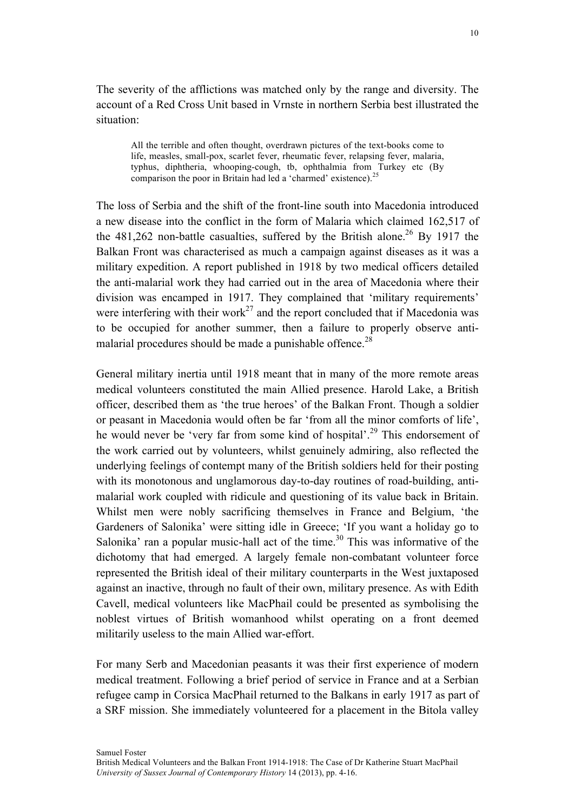The severity of the afflictions was matched only by the range and diversity. The account of a Red Cross Unit based in Vrnste in northern Serbia best illustrated the situation:

All the terrible and often thought, overdrawn pictures of the text-books come to life, measles, small-pox, scarlet fever, rheumatic fever, relapsing fever, malaria, typhus, diphtheria, whooping-cough, tb, ophthalmia from Turkey etc (By comparison the poor in Britain had led a 'charmed' existence).<sup>25</sup>

The loss of Serbia and the shift of the front-line south into Macedonia introduced a new disease into the conflict in the form of Malaria which claimed 162,517 of the  $481,262$  non-battle casualties, suffered by the British alone.<sup>26</sup> By 1917 the Balkan Front was characterised as much a campaign against diseases as it was a military expedition. A report published in 1918 by two medical officers detailed the anti-malarial work they had carried out in the area of Macedonia where their division was encamped in 1917. They complained that 'military requirements' were interfering with their work<sup>27</sup> and the report concluded that if Macedonia was to be occupied for another summer, then a failure to properly observe antimalarial procedures should be made a punishable offence.<sup>28</sup>

General military inertia until 1918 meant that in many of the more remote areas medical volunteers constituted the main Allied presence. Harold Lake, a British officer, described them as 'the true heroes' of the Balkan Front. Though a soldier or peasant in Macedonia would often be far 'from all the minor comforts of life', he would never be 'very far from some kind of hospital'.<sup>29</sup> This endorsement of the work carried out by volunteers, whilst genuinely admiring, also reflected the underlying feelings of contempt many of the British soldiers held for their posting with its monotonous and unglamorous day-to-day routines of road-building, antimalarial work coupled with ridicule and questioning of its value back in Britain. Whilst men were nobly sacrificing themselves in France and Belgium, 'the Gardeners of Salonika' were sitting idle in Greece; 'If you want a holiday go to Salonika' ran a popular music-hall act of the time.<sup>30</sup> This was informative of the dichotomy that had emerged. A largely female non-combatant volunteer force represented the British ideal of their military counterparts in the West juxtaposed against an inactive, through no fault of their own, military presence. As with Edith Cavell, medical volunteers like MacPhail could be presented as symbolising the noblest virtues of British womanhood whilst operating on a front deemed militarily useless to the main Allied war-effort.

For many Serb and Macedonian peasants it was their first experience of modern medical treatment. Following a brief period of service in France and at a Serbian refugee camp in Corsica MacPhail returned to the Balkans in early 1917 as part of a SRF mission. She immediately volunteered for a placement in the Bitola valley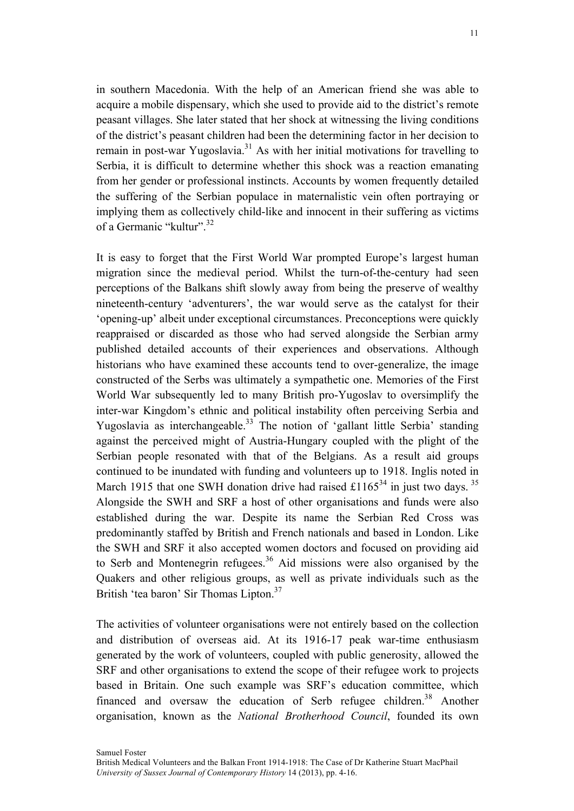in southern Macedonia. With the help of an American friend she was able to acquire a mobile dispensary, which she used to provide aid to the district's remote peasant villages. She later stated that her shock at witnessing the living conditions of the district's peasant children had been the determining factor in her decision to remain in post-war Yugoslavia.<sup>31</sup> As with her initial motivations for travelling to Serbia, it is difficult to determine whether this shock was a reaction emanating from her gender or professional instincts. Accounts by women frequently detailed the suffering of the Serbian populace in maternalistic vein often portraying or implying them as collectively child-like and innocent in their suffering as victims of a Germanic "kultur".<sup>32</sup>

It is easy to forget that the First World War prompted Europe's largest human migration since the medieval period. Whilst the turn-of-the-century had seen perceptions of the Balkans shift slowly away from being the preserve of wealthy nineteenth-century 'adventurers', the war would serve as the catalyst for their 'opening-up' albeit under exceptional circumstances. Preconceptions were quickly reappraised or discarded as those who had served alongside the Serbian army published detailed accounts of their experiences and observations. Although historians who have examined these accounts tend to over-generalize, the image constructed of the Serbs was ultimately a sympathetic one. Memories of the First World War subsequently led to many British pro-Yugoslav to oversimplify the inter-war Kingdom's ethnic and political instability often perceiving Serbia and Yugoslavia as interchangeable.<sup>33</sup> The notion of 'gallant little Serbia' standing against the perceived might of Austria-Hungary coupled with the plight of the Serbian people resonated with that of the Belgians. As a result aid groups continued to be inundated with funding and volunteers up to 1918. Inglis noted in March 1915 that one SWH donation drive had raised  $\pounds1165^{34}$  in just two days. <sup>35</sup> Alongside the SWH and SRF a host of other organisations and funds were also established during the war. Despite its name the Serbian Red Cross was predominantly staffed by British and French nationals and based in London. Like the SWH and SRF it also accepted women doctors and focused on providing aid to Serb and Montenegrin refugees.<sup>36</sup> Aid missions were also organised by the Quakers and other religious groups, as well as private individuals such as the British 'tea baron' Sir Thomas Lipton.<sup>37</sup>

The activities of volunteer organisations were not entirely based on the collection and distribution of overseas aid. At its 1916-17 peak war-time enthusiasm generated by the work of volunteers, coupled with public generosity, allowed the SRF and other organisations to extend the scope of their refugee work to projects based in Britain. One such example was SRF's education committee, which financed and oversaw the education of Serb refugee children.<sup>38</sup> Another organisation, known as the *National Brotherhood Council*, founded its own

Samuel Foster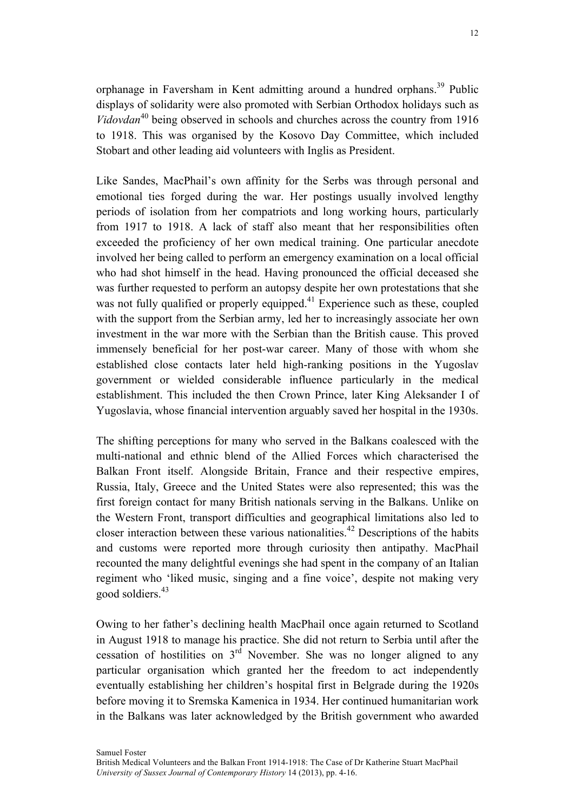orphanage in Faversham in Kent admitting around a hundred orphans.<sup>39</sup> Public displays of solidarity were also promoted with Serbian Orthodox holidays such as *Vidovdan*<sup>40</sup> being observed in schools and churches across the country from 1916 to 1918. This was organised by the Kosovo Day Committee, which included Stobart and other leading aid volunteers with Inglis as President.

Like Sandes, MacPhail's own affinity for the Serbs was through personal and emotional ties forged during the war. Her postings usually involved lengthy periods of isolation from her compatriots and long working hours, particularly from 1917 to 1918. A lack of staff also meant that her responsibilities often exceeded the proficiency of her own medical training. One particular anecdote involved her being called to perform an emergency examination on a local official who had shot himself in the head. Having pronounced the official deceased she was further requested to perform an autopsy despite her own protestations that she was not fully qualified or properly equipped.<sup>41</sup> Experience such as these, coupled with the support from the Serbian army, led her to increasingly associate her own investment in the war more with the Serbian than the British cause. This proved immensely beneficial for her post-war career. Many of those with whom she established close contacts later held high-ranking positions in the Yugoslav government or wielded considerable influence particularly in the medical establishment. This included the then Crown Prince, later King Aleksander I of Yugoslavia, whose financial intervention arguably saved her hospital in the 1930s.

The shifting perceptions for many who served in the Balkans coalesced with the multi-national and ethnic blend of the Allied Forces which characterised the Balkan Front itself. Alongside Britain, France and their respective empires, Russia, Italy, Greece and the United States were also represented; this was the first foreign contact for many British nationals serving in the Balkans. Unlike on the Western Front, transport difficulties and geographical limitations also led to closer interaction between these various nationalities.<sup>42</sup> Descriptions of the habits and customs were reported more through curiosity then antipathy. MacPhail recounted the many delightful evenings she had spent in the company of an Italian regiment who 'liked music, singing and a fine voice', despite not making very good soldiers.43

Owing to her father's declining health MacPhail once again returned to Scotland in August 1918 to manage his practice. She did not return to Serbia until after the cessation of hostilities on  $3<sup>rd</sup>$  November. She was no longer aligned to any particular organisation which granted her the freedom to act independently eventually establishing her children's hospital first in Belgrade during the 1920s before moving it to Sremska Kamenica in 1934. Her continued humanitarian work in the Balkans was later acknowledged by the British government who awarded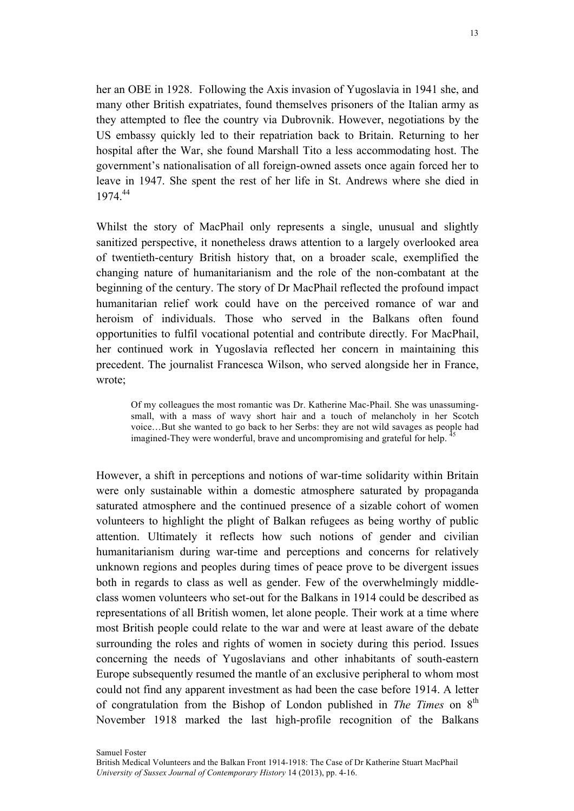her an OBE in 1928. Following the Axis invasion of Yugoslavia in 1941 she, and many other British expatriates, found themselves prisoners of the Italian army as they attempted to flee the country via Dubrovnik. However, negotiations by the US embassy quickly led to their repatriation back to Britain. Returning to her hospital after the War, she found Marshall Tito a less accommodating host. The government's nationalisation of all foreign-owned assets once again forced her to leave in 1947. She spent the rest of her life in St. Andrews where she died in 1974.44

Whilst the story of MacPhail only represents a single, unusual and slightly sanitized perspective, it nonetheless draws attention to a largely overlooked area of twentieth-century British history that, on a broader scale, exemplified the changing nature of humanitarianism and the role of the non-combatant at the beginning of the century. The story of Dr MacPhail reflected the profound impact humanitarian relief work could have on the perceived romance of war and heroism of individuals. Those who served in the Balkans often found opportunities to fulfil vocational potential and contribute directly. For MacPhail, her continued work in Yugoslavia reflected her concern in maintaining this precedent. The journalist Francesca Wilson, who served alongside her in France, wrote;

Of my colleagues the most romantic was Dr. Katherine Mac-Phail. She was unassumingsmall, with a mass of wavy short hair and a touch of melancholy in her Scotch voice…But she wanted to go back to her Serbs: they are not wild savages as people had imagined-They were wonderful, brave and uncompromising and grateful for help. <sup>45</sup>

However, a shift in perceptions and notions of war-time solidarity within Britain were only sustainable within a domestic atmosphere saturated by propaganda saturated atmosphere and the continued presence of a sizable cohort of women volunteers to highlight the plight of Balkan refugees as being worthy of public attention. Ultimately it reflects how such notions of gender and civilian humanitarianism during war-time and perceptions and concerns for relatively unknown regions and peoples during times of peace prove to be divergent issues both in regards to class as well as gender. Few of the overwhelmingly middleclass women volunteers who set-out for the Balkans in 1914 could be described as representations of all British women, let alone people. Their work at a time where most British people could relate to the war and were at least aware of the debate surrounding the roles and rights of women in society during this period. Issues concerning the needs of Yugoslavians and other inhabitants of south-eastern Europe subsequently resumed the mantle of an exclusive peripheral to whom most could not find any apparent investment as had been the case before 1914. A letter of congratulation from the Bishop of London published in *The Times* on 8th November 1918 marked the last high-profile recognition of the Balkans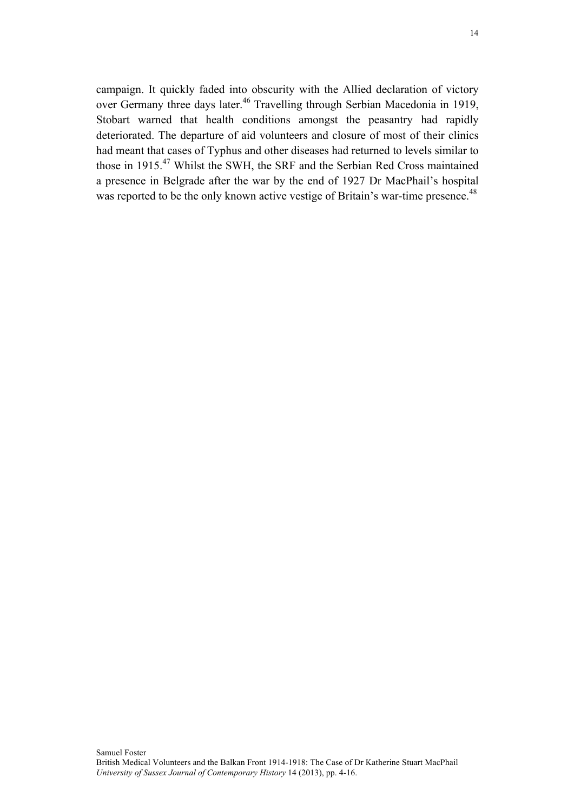campaign. It quickly faded into obscurity with the Allied declaration of victory over Germany three days later.<sup>46</sup> Travelling through Serbian Macedonia in 1919, Stobart warned that health conditions amongst the peasantry had rapidly deteriorated. The departure of aid volunteers and closure of most of their clinics had meant that cases of Typhus and other diseases had returned to levels similar to those in 1915.<sup>47</sup> Whilst the SWH, the SRF and the Serbian Red Cross maintained a presence in Belgrade after the war by the end of 1927 Dr MacPhail's hospital was reported to be the only known active vestige of Britain's war-time presence.<sup>48</sup>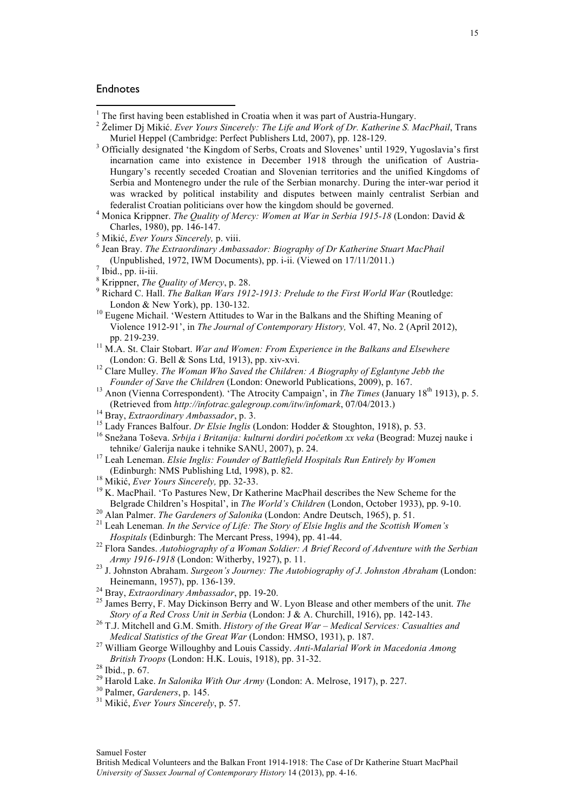## Endnotes

Muriel Heppel (Cambridge: Perfect Publishers Ltd, 2007), pp. 128-129.<br><sup>3</sup> Officially designated 'the Kingdom of Serbs, Croats and Slovenes' until 1929, Yugoslavia's first incarnation came into existence in December 1918 through the unification of Austria-Hungary's recently seceded Croatian and Slovenian territories and the unified Kingdoms of Serbia and Montenegro under the rule of the Serbian monarchy. During the inter-war period it was wracked by political instability and disputes between mainly centralist Serbian and

<u> 1989 - Jan Samuel Barbara, margaret e</u>

- 
- $\frac{7}{8}$  Ibid., pp. ii-iii.<br> $\frac{8}{8}$  Krippner, *The Quality of Mercy*, p. 28.<br> $\frac{9}{8}$  Richard C. Hall. *The Balkan Wars 1912-1913: Prelude to the First World War* (Routledge: London & New York), pp. 130-132.<br><sup>10</sup> Eugene Michail. 'Western Attitudes to War in the Balkans and the Shifting Meaning of
- Violence 1912-91', in *The Journal of Contemporary History,* Vol. 47, No. 2 (April 2012), pp. 219-239. 11 M.A. St. Clair Stobart. *War and Women: From Experience in the Balkans and Elsewhere*
- (London: G. Bell & Sons Ltd, 1913), pp. xiv-xvi. <sup>12</sup> Clare Mulley. *The Woman Who Saved the Children: A Biography of Eglantyne Jebb the*
- 
- *Founder of Save the Children* (London: Oneworld Publications, 2009), p. 167.<br><sup>13</sup> Anon (Vienna Correspondent). 'The Atrocity Campaign', in *The Times* (January 18<sup>th</sup> 1913), p. 5.<br>(Retrieved from *http://infotrac.galegrou*
- 
- 
- <sup>14</sup> Bray, *Extraordinary Ambassador*, p. 3.<br><sup>15</sup> Lady Frances Balfour. *Dr Elsie Inglis* (London: Hodder & Stoughton, 1918), p. 53.<br><sup>16</sup> Snežana Toševa. *Srbija i Britanija: kulturni dordiri početkom xx veka* (Beograd: Mu
- tehnike/ Galerija nauke i tehnike SANU, 2007), p. 24.<br><sup>17</sup> Leah Leneman. *Elsie Inglis: Founder of Battlefield Hospitals Run Entirely by Women*<br>(Edinburgh: NMS Publishing Ltd. 1998). p. 82.
- 
- <sup>18</sup> Mikić, *Ever Yours Sincerely, pp.* 32-33.<br><sup>19</sup> K. MacPhail. 'To Pastures New, Dr Katherine MacPhail describes the New Scheme for the<br>Belgrade Children's Hospital', in *The World's Children* (London, October 1933), pp.
- 
- <sup>20</sup> Alan Palmer. *The Gardeners of Salonika* (London: Andre Deutsch, 1965), p. 51.<br><sup>21</sup> Leah Leneman. *In the Service of Life: The Story of Elsie Inglis and the Scottish Women's*<br>*Hospitals* (Edinburgh: The Mercant Press,
- <sup>22</sup> Flora Sandes. Autobiography of a Woman Soldier: A Brief Record of Adventure with the Serbian *Army 1916-1918* (London: Witherby, 1927), p. 11. <sup>23</sup> J. Johnston Abraham. *Surgeon's Journey: The Autobiography of J. Johnston Abraham* (London:
- 
- 
- Heinemann, 1957), pp. 136-139.<br><sup>24</sup> Bray, *Extraordinary Ambassador*, pp. 19-20.<br><sup>25</sup> James Berry, F. May Dickinson Berry and W. Lyon Blease and other members of the unit. *The Story of a Red Cross Unit in Serbia* (Londo
- <sup>26</sup> T.J. Mitchell and G.M. Smith. *History of the Great War Medical Services: Casualties and*
- *Medical Statistics of the Great War* (London: HMSO, 1931), p. 187.<br><sup>27</sup> William George Willoughby and Louis Cassidy. *Anti-Malarial Work in Macedonia Among British Troops* (London: H.K. Louis, 1918), pp. 31-32.
- 
- <sup>28</sup> Ibid., p. 67.<br><sup>29</sup> Harold Lake. *In Salonika With Our Army* (London: A. Melrose, 1917), p. 227.<br><sup>30</sup> Palmer, *Gardeners*, p. 145.<br><sup>31</sup> Mikić. *Ever Yours Sincerely* p. 57.

Samuel Foster

<sup>1</sup> The first having been established in Croatia when it was part of Austria-Hungary. 2 <sup>Ž</sup>elimer Dj Mikić. *Ever Yours Sincerely: The Life and Work of Dr. Katherine S. MacPhail*, Trans

federalist Croatian politicians over how the kingdom should be governed. 4 Monica Krippner. *The Quality of Mercy: Women at War in Serbia 1915-18* (London: David &

<sup>&</sup>lt;sup>5</sup> Mikić, *Ever Yours Sincerely, p. viii.*<br>
<sup>6</sup> Jean Bray. *The Extraordinary Ambassador: Biography of Dr Katherine Stuart MacPhail*<br>
(Unpublished, 1972, IWM Documents), pp. i-ii. (Viewed on 17/11/2011.)